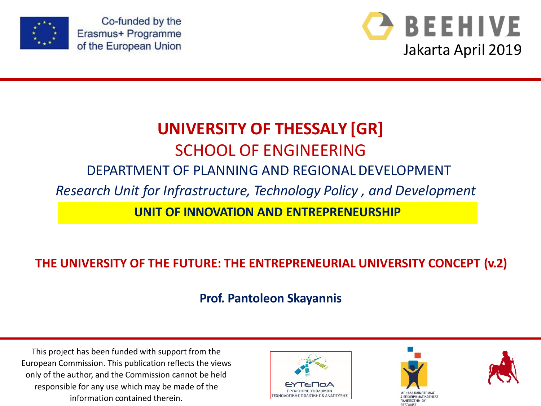

Co-funded by the Erasmus+ Programme of the European Union



# **UNIVERSITY OF THESSALY [GR]** SCHOOL OF ENGINEERING

#### DEPARTMENT OF PLANNING AND REGIONALDEVELOPMENT

*Research Unit for Infrastructure, Technology Policy , and Development*

**UNIT OF INNOVATION AND ENTREPRENEURSHIP**

#### **THE UNIVERSITY OF THE FUTURE: THE ENTREPRENEURIAL UNIVERSITY CONCEPT (v.2)**

**Prof. Pantoleon Skayannis**

This project has been funded with support from the European Commission. This publication reflects the views only of the author, and the Commission cannot be held responsible for any use which may be made of the information contained therein.





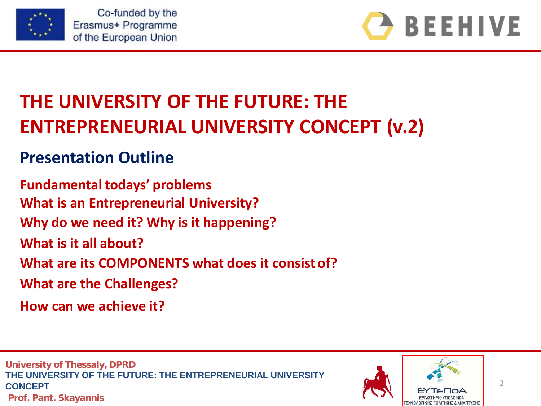



# **THE UNIVERSITY OF THE FUTURE: THE ENTREPRENEURIAL UNIVERSITY CONCEPT (v.2)**

## **Presentation Outline**

**Fundamental todays' problems**

**What is an Entrepreneurial University?**

**Why do we need it? Why is it happening?**

**What is it all about?**

**What are its COMPONENTS what does it consist of?** 

**What are the Challenges?**

**How can we achieve it?**

**University of Thessaly, DPRD THE UNIVERSITY OF THE FUTURE: THE ENTREPRENEURIAL UNIVERSITY CONCEPT Prof. Pant. Skayannis**

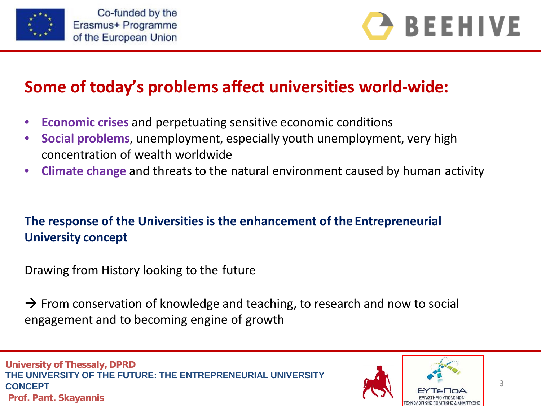



### **Some of today's problems affect universities world-wide:**

- **Economic crises** and perpetuating sensitive economic conditions
- **Social problems**, unemployment, especially youth unemployment, very high concentration of wealth worldwide
- **Climate change** and threats to the natural environment caused by human activity

#### **The response of the Universities is the enhancement of the Entrepreneurial University concept**

Drawing from History looking to the future

 $\rightarrow$  From conservation of knowledge and teaching, to research and now to social engagement and to becoming engine of growth

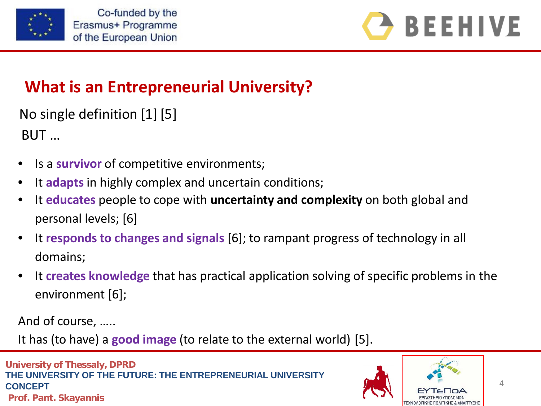



## **What is an Entrepreneurial University?**

No single definition [1] [5]

BUT …

- Is a **survivor** of competitive environments;
- It **adapts** in highly complex and uncertain conditions;
- It **educates** people to cope with **uncertainty and complexity** on both global and personal levels; [6]
- It **responds to changes and signals** [6]; to rampant progress of technology in all domains;
- It **creates knowledge** that has practical application solving of specific problems in the environment [6];

And of course, …..

It has (to have) a **good image** (to relate to the external world) [5].

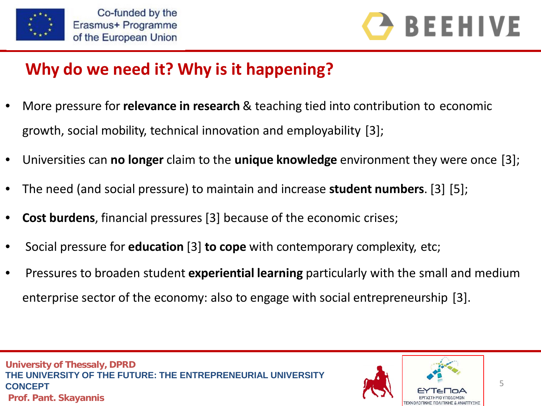



# **Why do we need it? Why is it happening?**

- More pressure for **relevance in research** & teaching tied into contribution to economic growth, social mobility, technical innovation and employability [3];
- Universities can **no longer** claim to the **unique knowledge** environment they were once [3];
- The need (and social pressure) to maintain and increase **student numbers**. [3] [5];
- **Cost burdens**, financial pressures [3] because of the economic crises;
- Social pressure for **education** [3] **to cope** with contemporary complexity, etc;
- Pressures to broaden student **experiential learning** particularly with the small and medium enterprise sector of the economy: also to engage with social entrepreneurship [3].

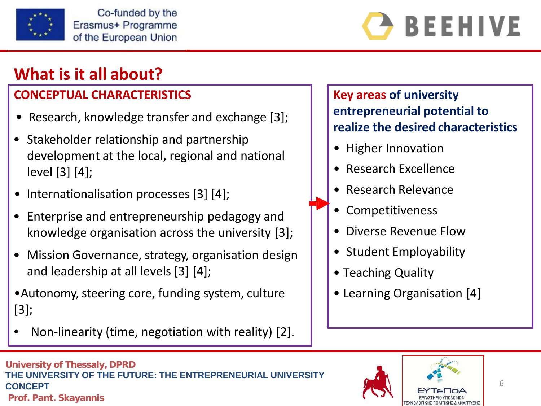

**BEEHIVE** 

# **What is it all about?**

#### **CONCEPTUAL CHARACTERISTICS**

- Research, knowledge transfer and exchange [3];
- Stakeholder relationship and partnership development at the local, regional and national level [3] [4];
- Internationalisation processes [3] [4];
- Enterprise and entrepreneurship pedagogy and knowledge organisation across the university [3];
- Mission Governance, strategy, organisation design and leadership at all levels [3] [4];
- •Autonomy, steering core, funding system, culture [3];
- Non-linearity (time, negotiation with reality) [2].

**Key areas of university entrepreneurial potential to realize the desired characteristics**

- Higher Innovation
- Research Excellence
- Research Relevance
- **Competitiveness**
- Diverse Revenue Flow
- Student Employability
- Teaching Quality
- Learning Organisation [4]

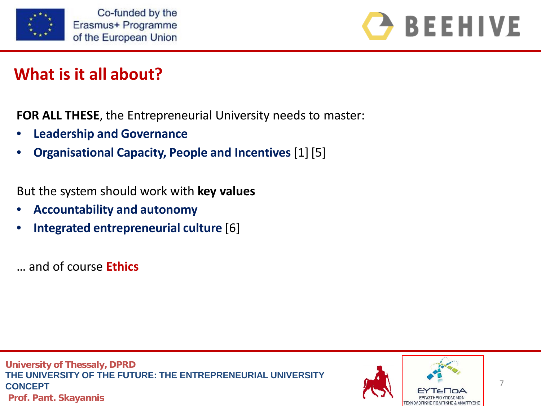



# **What is it all about?**

**FOR ALL THESE**, the Entrepreneurial University needs to master:

- **Leadership and Governance**
- **Organisational Capacity, People and Incentives** [1] [5]

But the system should work with **key values**

- **Accountability and autonomy**
- **Integrated entrepreneurial culture** [6]
- … and of course **Ethics**

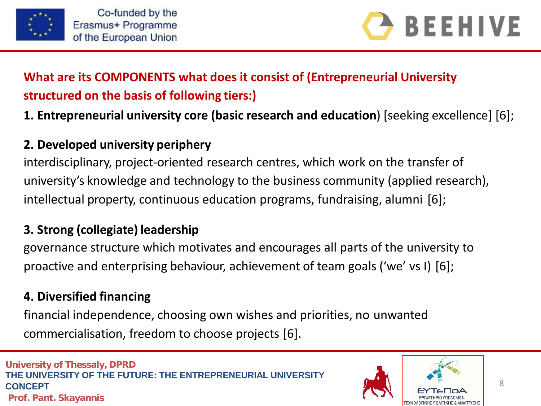



#### **What are its COMPONENTS what does it consist of (Entrepreneurial University structured on the basis of following tiers:)**

#### **1. Entrepreneurial university core (basic research and education**) [seeking excellence] [6];

#### **2. Developed university periphery**

interdisciplinary, project-oriented research centres, which work on the transfer of university's knowledge and technology to the business community (applied research), intellectual property, continuous education programs, fundraising, alumni [6];

#### **3. Strong (collegiate) leadership**

governance structure which motivates and encourages all parts of the university to proactive and enterprising behaviour, achievement of team goals ('we' vs I) [6];

#### **4. Diversified financing**

financial independence, choosing own wishes and priorities, no unwanted commercialisation, freedom to choose projects [6].

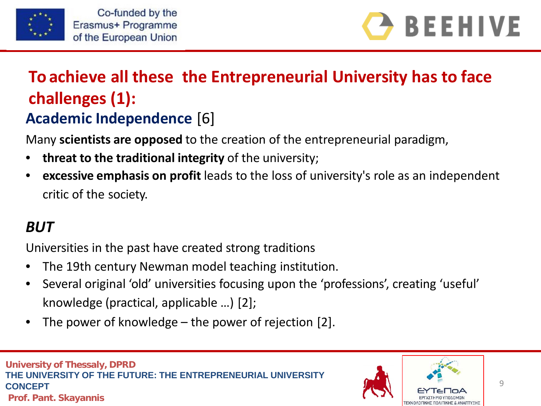



# **Academic Independence** [6] **To achieve all these the Entrepreneurial University has to face challenges (1):**

Many **scientists are opposed** to the creation of the entrepreneurial paradigm,

- **threat to the traditional integrity** of the university;
- **excessive emphasis on profit** leads to the loss of university's role as an independent critic of the society.

# *BUT*

Universities in the past have created strong traditions

- The 19th century Newman model teaching institution.
- Several original 'old' universities focusing upon the 'professions', creating 'useful' knowledge (practical, applicable …) [2];
- The power of knowledge the power of rejection  $[2]$ .

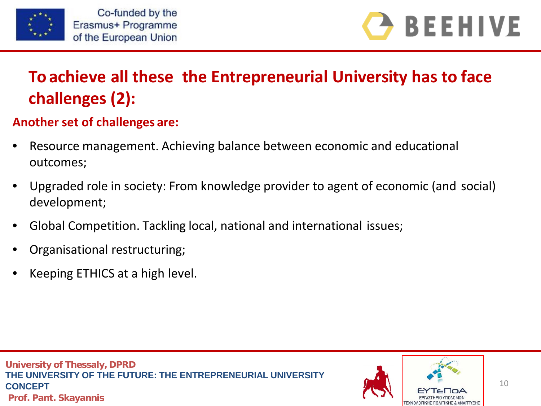



# **To achieve all these the Entrepreneurial University has to face challenges (2):**

#### **Another set of challenges are:**

- Resource management. Achieving balance between economic and educational outcomes;
- Upgraded role in society: From knowledge provider to agent of economic (and social) development;
- Global Competition. Tackling local, national and international issues;
- Organisational restructuring;
- Keeping ETHICS at a high level.

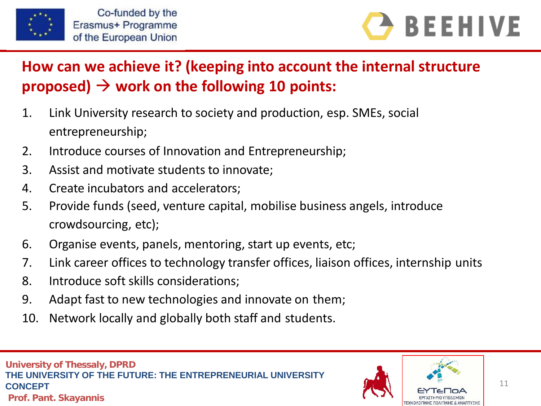



## **How can we achieve it? (keeping into account the internal structure proposed)**  $\rightarrow$  **work on the following 10 points:**

- 1. Link University research to society and production, esp. SMEs, social entrepreneurship;
- 2. Introduce courses of Innovation and Entrepreneurship;
- 3. Assist and motivate students to innovate;
- 4. Create incubators and accelerators;
- 5. Provide funds (seed, venture capital, mobilise business angels, introduce crowdsourcing, etc);
- 6. Organise events, panels, mentoring, start up events, etc;
- 7. Link career offices to technology transfer offices, liaison offices, internship units
- 8. Introduce soft skills considerations;
- 9. Adapt fast to new technologies and innovate on them;
- 10. Network locally and globally both staff and students.

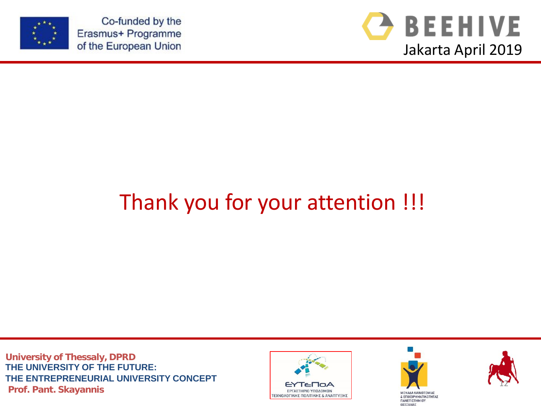

Co-funded by the Erasmus+ Programme of the European Union



# Thank you for your attention !!!

**University of Thessaly, DPRD THE UNIVERSITY OF THE FUTURE: THE ENTREPRENEURIAL UNIVERSITY CONCEPT Prof. Pant. Skayannis** TEXNOLOGINE TRESPORTED A TEXNOLOGINE E PROF. POINT AND AN ANDIS MANARA KANGITAL MUSICAL MANARA KANGITAL MANARA KANGITAL MUSICAL MANARA KANGITAL MANARA KANGITAL MANARA KANGITAL MANARA KANGITAL MANARA